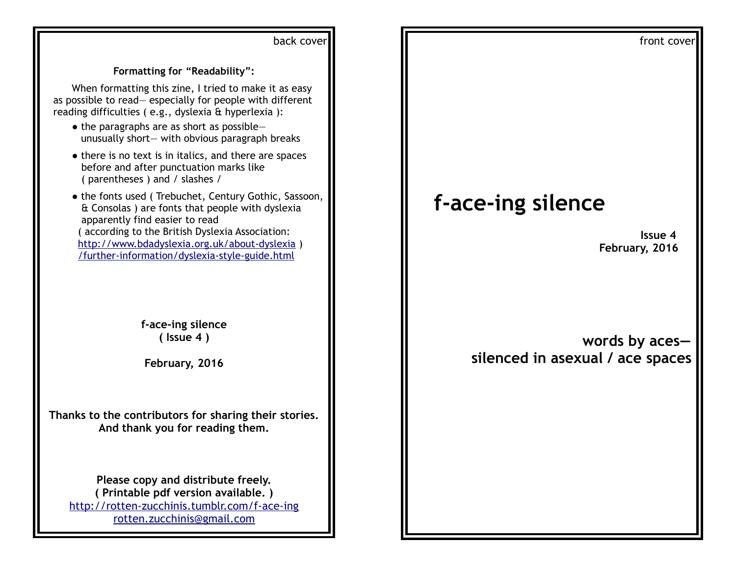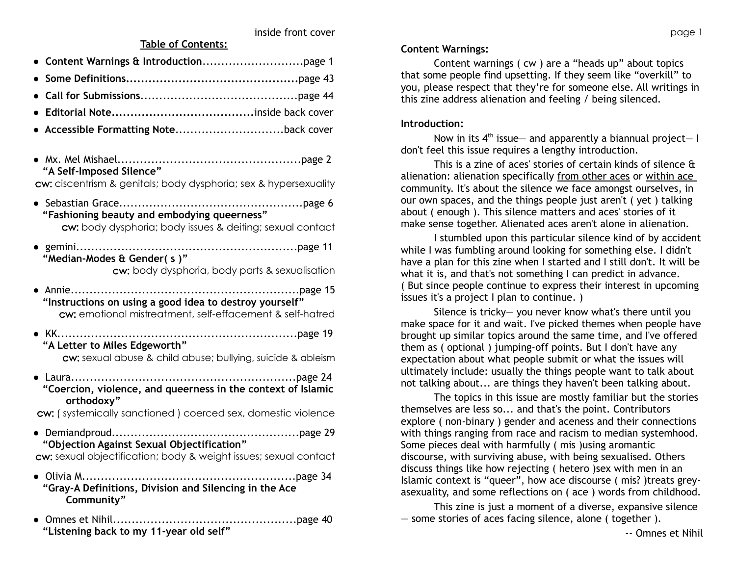- **Content Warnings & Introduction**...........................page 1
- **Some Definitions..............................................**page 43
- **Call for Submissions**..........................................page 44
- **Editorial Note......................................**inside back cover
- **Accessible Formatting Note**.............................back cover
- Mx. Mel Mishael*................*.................................page 2  **"A Self-Imposed Silence"**

cw: ciscentrism & genitals; body dysphoria; sex & hypersexuality

- Sebastian Grace.................................................page 6 **"Fashioning beauty and embodying queerness"** cw: body dysphoria; body issues & deiting; sexual contact
- gemini...........................................................page 11  **"Median-Modes & Gender( s )"**

cw: body dysphoria, body parts & sexualisation

- Annie.............................................................page 15  **"Instructions on using a good idea to destroy yourself"** cw: emotional mistreatment, self-effacement & self-hatred
- KK................................................................page 19  **"A Letter to Miles Edgeworth"** cw: sexual abuse & child abuse; bullying, suicide & ableism
- Laura............................................................page 24  **"Coercion, violence, and queerness in the context of Islamic orthodoxy"**

cw: ( systemically sanctioned ) coerced sex, domestic violence

**●** Demiandproud..................................................page 29  **"Objection Against Sexual Objectification"**

cw: sexual objectification; body & weight issues; sexual contact

- Olivia M.........................................................page 34  **"Gray-A Definitions, Division and Silencing in the Ace Community"**
- Omnes et Nihil.................................................page 40  **"Listening back to my 11-year old self"**

# **Content Warnings:**

Content warnings ( cw ) are a "heads up" about topics that some people find upsetting. If they seem like "overkill" to you, please respect that they're for someone else. All writings in this zine address alienation and feeling / being silenced.

# **Introduction:**

Now in its  $4<sup>th</sup>$  issue – and apparently a biannual project – I don't feel this issue requires a lengthy introduction.

This is a zine of aces' stories of certain kinds of silence & alienation: alienation specifically from other aces or within ace community. It's about the silence we face amongst ourselves, in our own spaces, and the things people just aren't ( yet ) talking about ( enough ). This silence matters and aces' stories of it make sense together. Alienated aces aren't alone in alienation.

I stumbled upon this particular silence kind of by accident while I was fumbling around looking for something else. I didn't have a plan for this zine when I started and I still don't. It will be what it is, and that's not something I can predict in advance. ( But since people continue to express their interest in upcoming issues it's a project I plan to continue. )

Silence is tricky— you never know what's there until you make space for it and wait. I've picked themes when people have brought up similar topics around the same time, and I've offered them as ( optional ) jumping-off points. But I don't have any expectation about what people submit or what the issues will ultimately include: usually the things people want to talk about not talking about... are things they haven't been talking about.

The topics in this issue are mostly familiar but the stories themselves are less so... and that's the point. Contributors explore ( non-binary ) gender and aceness and their connections with things ranging from race and racism to median systemhood. Some pieces deal with harmfully ( mis )using aromantic discourse, with surviving abuse, with being sexualised. Others discuss things like how rejecting ( hetero )sex with men in an Islamic context is "queer", how ace discourse ( mis? )treats greyasexuality, and some reflections on ( ace ) words from childhood.

This zine is just a moment of a diverse, expansive silence — some stories of aces facing silence, alone ( together ).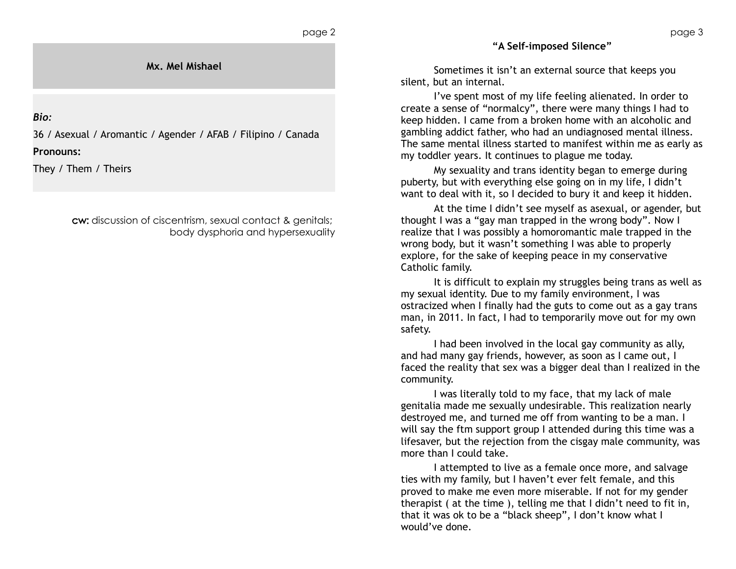**Mx. Mel Mishael**

*Bio:*

36 / Asexual / Aromantic / Agender / AFAB / Filipino / Canada

**Pronouns:**

They / Them / Theirs

cw: discussion of ciscentrism, sexual contact & genitals; body dysphoria and hypersexuality **"A Self-imposed Silence"**

Sometimes it isn't an external source that keeps you silent, but an internal.

I've spent most of my life feeling alienated. In order to create a sense of "normalcy", there were many things I had to keep hidden. I came from a broken home with an alcoholic and gambling addict father, who had an undiagnosed mental illness. The same mental illness started to manifest within me as early as my toddler years. It continues to plague me today.

My sexuality and trans identity began to emerge during puberty, but with everything else going on in my life, I didn't want to deal with it, so I decided to bury it and keep it hidden.

At the time I didn't see myself as asexual, or agender, but thought I was a "gay man trapped in the wrong body". Now I realize that I was possibly a homoromantic male trapped in the wrong body, but it wasn't something I was able to properly explore, for the sake of keeping peace in my conservative Catholic family.

It is difficult to explain my struggles being trans as well as my sexual identity. Due to my family environment, I was ostracized when I finally had the guts to come out as a gay trans man, in 2011. In fact, I had to temporarily move out for my own safety.

I had been involved in the local gay community as ally, and had many gay friends, however, as soon as I came out, I faced the reality that sex was a bigger deal than I realized in the community.

I was literally told to my face, that my lack of male genitalia made me sexually undesirable. This realization nearly destroyed me, and turned me off from wanting to be a man. I will say the ftm support group I attended during this time was a lifesaver, but the rejection from the cisgay male community, was more than I could take.

I attempted to live as a female once more, and salvage ties with my family, but I haven't ever felt female, and this proved to make me even more miserable. If not for my gender therapist ( at the time ), telling me that I didn't need to fit in, that it was ok to be a "black sheep", I don't know what I would've done.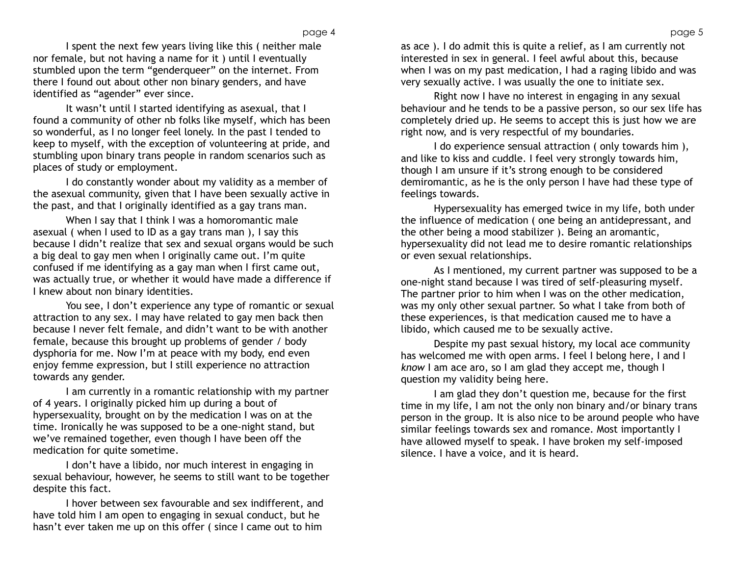I spent the next few years living like this ( neither male nor female, but not having a name for it ) until I eventually stumbled upon the term "genderqueer" on the internet. From there I found out about other non binary genders, and have identified as "agender" ever since.

It wasn't until I started identifying as asexual, that I found a community of other nb folks like myself, which has been so wonderful, as I no longer feel lonely. In the past I tended to keep to myself, with the exception of volunteering at pride, and stumbling upon binary trans people in random scenarios such as places of study or employment.

I do constantly wonder about my validity as a member of the asexual community, given that I have been sexually active in the past, and that I originally identified as a gay trans man.

When I say that I think I was a homoromantic male asexual ( when I used to ID as a gay trans man ), I say this because I didn't realize that sex and sexual organs would be such a big deal to gay men when I originally came out. I'm quite confused if me identifying as a gay man when I first came out, was actually true, or whether it would have made a difference if I knew about non binary identities.

You see, I don't experience any type of romantic or sexual attraction to any sex. I may have related to gay men back then because I never felt female, and didn't want to be with another female, because this brought up problems of gender / body dysphoria for me. Now I'm at peace with my body, end even enjoy femme expression, but I still experience no attraction towards any gender.

I am currently in a romantic relationship with my partner of 4 years. I originally picked him up during a bout of hypersexuality, brought on by the medication I was on at the time. Ironically he was supposed to be a one-night stand, but we've remained together, even though I have been off the medication for quite sometime.

I don't have a libido, nor much interest in engaging in sexual behaviour, however, he seems to still want to be together despite this fact.

I hover between sex favourable and sex indifferent, and have told him I am open to engaging in sexual conduct, but he hasn't ever taken me up on this offer ( since I came out to him

as ace ). I do admit this is quite a relief, as I am currently not interested in sex in general. I feel awful about this, because when I was on my past medication, I had a raging libido and was very sexually active. I was usually the one to initiate sex.

Right now I have no interest in engaging in any sexual behaviour and he tends to be a passive person, so our sex life has completely dried up. He seems to accept this is just how we are right now, and is very respectful of my boundaries.

I do experience sensual attraction ( only towards him ), and like to kiss and cuddle. I feel very strongly towards him, though I am unsure if it's strong enough to be considered demiromantic, as he is the only person I have had these type of feelings towards.

Hypersexuality has emerged twice in my life, both under the influence of medication ( one being an antidepressant, and the other being a mood stabilizer ). Being an aromantic, hypersexuality did not lead me to desire romantic relationships or even sexual relationships.

As I mentioned, my current partner was supposed to be a one-night stand because I was tired of self-pleasuring myself. The partner prior to him when I was on the other medication, was my only other sexual partner. So what I take from both of these experiences, is that medication caused me to have a libido, which caused me to be sexually active.

Despite my past sexual history, my local ace community has welcomed me with open arms. I feel I belong here, I and I *know* I am ace aro, so I am glad they accept me, though I question my validity being here.

I am glad they don't question me, because for the first time in my life, I am not the only non binary and/or binary trans person in the group. It is also nice to be around people who have similar feelings towards sex and romance. Most importantly I have allowed myself to speak. I have broken my self-imposed silence. I have a voice, and it is heard.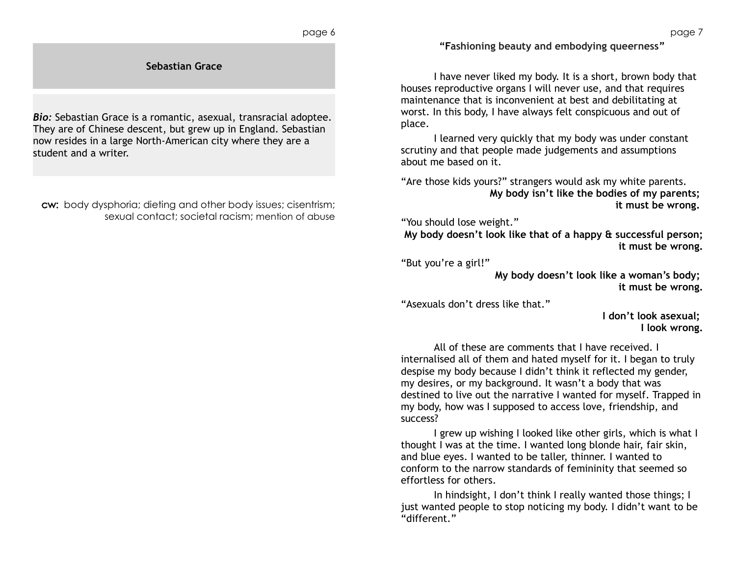**"Fashioning beauty and embodying queerness"**

I have never liked my body. It is a short, brown body that houses reproductive organs I will never use, and that requires maintenance that is inconvenient at best and debilitating at worst. In this body, I have always felt conspicuous and out of place.

I learned very quickly that my body was under constant scrutiny and that people made judgements and assumptions about me based on it.

"Are those kids yours?" strangers would ask my white parents. **My body isn't like the bodies of my parents; it must be wrong.** 

"You should lose weight."

**My body doesn't look like that of a happy & successful person; it must be wrong.**

"But you're a girl!"

**My body doesn't look like a woman's body; it must be wrong.**

"Asexuals don't dress like that."

**I don't look asexual; I look wrong.**

All of these are comments that I have received. I internalised all of them and hated myself for it. I began to truly despise my body because I didn't think it reflected my gender, my desires, or my background. It wasn't a body that was destined to live out the narrative I wanted for myself. Trapped in my body, how was I supposed to access love, friendship, and success?

I grew up wishing I looked like other girls, which is what I thought I was at the time. I wanted long blonde hair, fair skin, and blue eyes. I wanted to be taller, thinner. I wanted to conform to the narrow standards of femininity that seemed so effortless for others.

In hindsight, I don't think I really wanted those things; I just wanted people to stop noticing my body. I didn't want to be "different."

**Sebastian Grace**

*Bio:* Sebastian Grace is a romantic, asexual, transracial adoptee. They are of Chinese descent, but grew up in England. Sebastian now resides in a large North-American city where they are a student and a writer.

cw: body dysphoria; dieting and other body issues; cisentrism; sexual contact; societal racism; mention of abuse page 7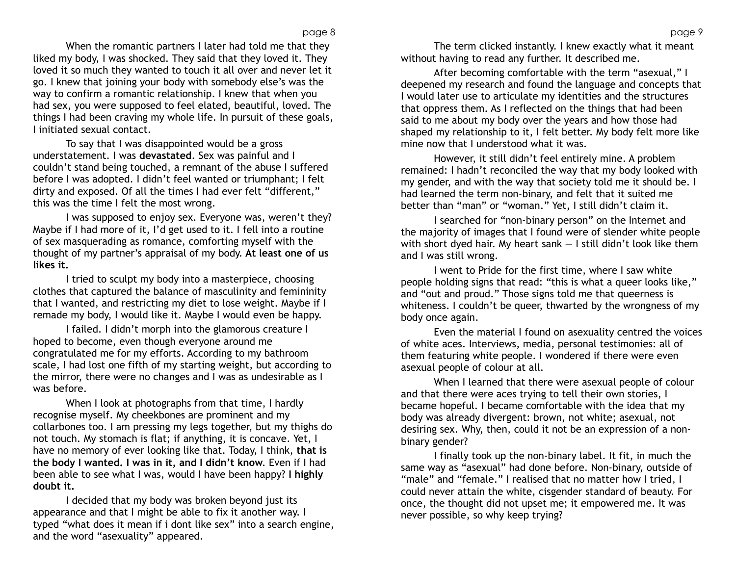When the romantic partners I later had told me that they liked my body, I was shocked. They said that they loved it. They loved it so much they wanted to touch it all over and never let it go. I knew that joining your body with somebody else's was the way to confirm a romantic relationship. I knew that when you had sex, you were supposed to feel elated, beautiful, loved. The things I had been craving my whole life. In pursuit of these goals, I initiated sexual contact.

To say that I was disappointed would be a gross understatement. I was **devastated**. Sex was painful and I couldn't stand being touched, a remnant of the abuse I suffered before I was adopted. I didn't feel wanted or triumphant; I felt dirty and exposed. Of all the times I had ever felt "different," this was the time I felt the most wrong.

I was supposed to enjoy sex. Everyone was, weren't they? Maybe if I had more of it, I'd get used to it. I fell into a routine of sex masquerading as romance, comforting myself with the thought of my partner's appraisal of my body. **At least one of us likes it.** 

I tried to sculpt my body into a masterpiece, choosing clothes that captured the balance of masculinity and femininity that I wanted, and restricting my diet to lose weight. Maybe if I remade my body, I would like it. Maybe I would even be happy.

I failed. I didn't morph into the glamorous creature I hoped to become, even though everyone around me congratulated me for my efforts. According to my bathroom scale, I had lost one fifth of my starting weight, but according to the mirror, there were no changes and I was as undesirable as I was before.

When I look at photographs from that time, I hardly recognise myself. My cheekbones are prominent and my collarbones too. I am pressing my legs together, but my thighs do not touch. My stomach is flat; if anything, it is concave. Yet, I have no memory of ever looking like that. Today, I think, **that is the body I wanted. I was in it, and I didn't know**. Even if I had been able to see what I was, would I have been happy? **I highly doubt it.**

I decided that my body was broken beyond just its appearance and that I might be able to fix it another way. I typed "what does it mean if i dont like sex" into a search engine, and the word "asexuality" appeared.

The term clicked instantly. I knew exactly what it meant without having to read any further. It described me.

After becoming comfortable with the term "asexual," I deepened my research and found the language and concepts that I would later use to articulate my identities and the structures that oppress them. As I reflected on the things that had been said to me about my body over the years and how those had shaped my relationship to it, I felt better. My body felt more like mine now that I understood what it was.

However, it still didn't feel entirely mine. A problem remained: I hadn't reconciled the way that my body looked with my gender, and with the way that society told me it should be. I had learned the term non-binary, and felt that it suited me better than "man" or "woman." Yet, I still didn't claim it.

I searched for "non-binary person" on the Internet and the majority of images that I found were of slender white people with short dyed hair. My heart sank  $-1$  still didn't look like them and I was still wrong.

I went to Pride for the first time, where I saw white people holding signs that read: "this is what a queer looks like," and "out and proud." Those signs told me that queerness is whiteness. I couldn't be queer, thwarted by the wrongness of my body once again.

Even the material I found on asexuality centred the voices of white aces. Interviews, media, personal testimonies: all of them featuring white people. I wondered if there were even asexual people of colour at all.

When I learned that there were asexual people of colour and that there were aces trying to tell their own stories, I became hopeful. I became comfortable with the idea that my body was already divergent: brown, not white; asexual, not desiring sex. Why, then, could it not be an expression of a nonbinary gender?

I finally took up the non-binary label. It fit, in much the same way as "asexual" had done before. Non-binary, outside of "male" and "female." I realised that no matter how I tried, I could never attain the white, cisgender standard of beauty. For once, the thought did not upset me; it empowered me. It was never possible, so why keep trying?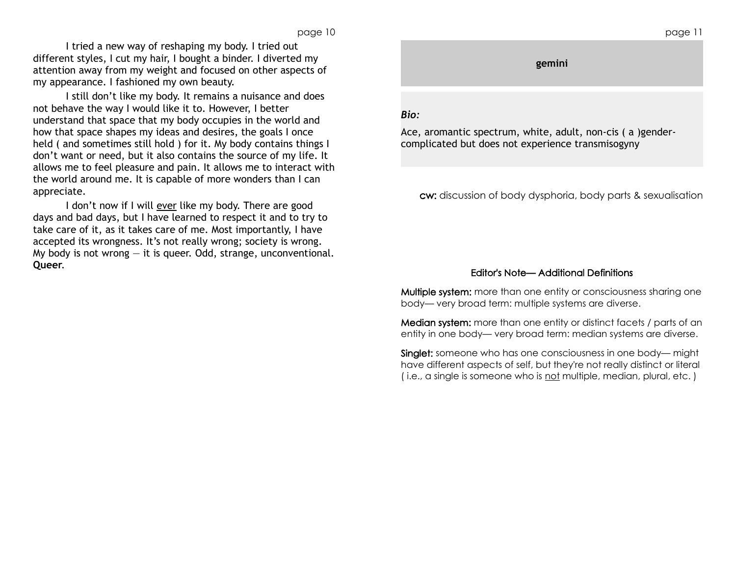I tried a new way of reshaping my body. I tried out different styles, I cut my hair, I bought a binder. I diverted my attention away from my weight and focused on other aspects of my appearance. I fashioned my own beauty.

I still don't like my body. It remains a nuisance and does not behave the way I would like it to. However, I better understand that space that my body occupies in the world and how that space shapes my ideas and desires, the goals I once held ( and sometimes still hold ) for it. My body contains things I don't want or need, but it also contains the source of my life. It allows me to feel pleasure and pain. It allows me to interact with the world around me. It is capable of more wonders than I can appreciate.

I don't now if I will ever like my body. There are good days and bad days, but I have learned to respect it and to try to take care of it, as it takes care of me. Most importantly, I have accepted its wrongness. It's not really wrong; society is wrong. My body is not wrong  $-$  it is queer. Odd, strange, unconventional. **Queer**.

# **gemini**

# *Bio:*

Ace, aromantic spectrum, white, adult, non-cis ( a )gendercomplicated but does not experience transmisogyny

cw: discussion of body dysphoria, body parts & sexualisation

### Editor's Note— Additional Definitions

Multiple system: more than one entity or consciousness sharing one body— very broad term: multiple systems are diverse.

Median system: more than one entity or distinct facets / parts of an entity in one body— very broad term: median systems are diverse.

Singlet: someone who has one consciousness in one body— might have different aspects of self, but they're not really distinct or literal ( i.e., a single is someone who is not multiple, median, plural, etc. )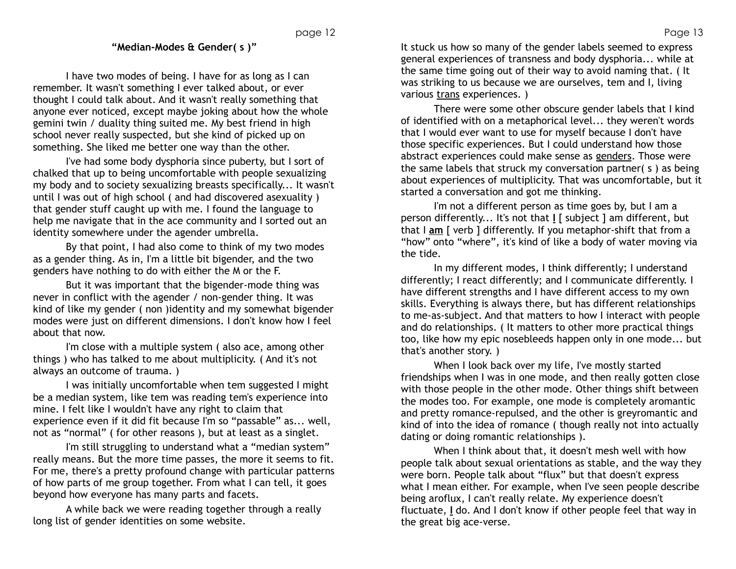## **"Median-Modes & Gender( s )"**

I have two modes of being. I have for as long as I can remember. It wasn't something I ever talked about, or ever thought I could talk about. And it wasn't really something that anyone ever noticed, except maybe joking about how the whole gemini twin / duality thing suited me. My best friend in high school never really suspected, but she kind of picked up on something. She liked me better one way than the other.

I've had some body dysphoria since puberty, but I sort of chalked that up to being uncomfortable with people sexualizing my body and to society sexualizing breasts specifically... It wasn't until I was out of high school ( and had discovered asexuality ) that gender stuff caught up with me. I found the language to help me navigate that in the ace community and I sorted out an identity somewhere under the agender umbrella.

By that point, I had also come to think of my two modes as a gender thing. As in, I'm a little bit bigender, and the two genders have nothing to do with either the M or the F.

But it was important that the bigender-mode thing was never in conflict with the agender / non-gender thing. It was kind of like my gender ( non )identity and my somewhat bigender modes were just on different dimensions. I don't know how I feel about that now.

I'm close with a multiple system ( also ace, among other things ) who has talked to me about multiplicity. ( And it's not always an outcome of trauma. )

I was initially uncomfortable when tem suggested I might be a median system, like tem was reading tem's experience into mine. I felt like I wouldn't have any right to claim that experience even if it did fit because I'm so "passable" as... well, not as "normal" ( for other reasons ), but at least as a singlet.

I'm still struggling to understand what a "median system" really means. But the more time passes, the more it seems to fit. For me, there's a pretty profound change with particular patterns of how parts of me group together. From what I can tell, it goes beyond how everyone has many parts and facets.

A while back we were reading together through a really long list of gender identities on some website.

It stuck us how so many of the gender labels seemed to express general experiences of transness and body dysphoria... while at the same time going out of their way to avoid naming that. ( It was striking to us because we are ourselves, tem and I, living various trans experiences. )

There were some other obscure gender labels that I kind of identified with on a metaphorical level... they weren't words that I would ever want to use for myself because I don't have those specific experiences. But I could understand how those abstract experiences could make sense as genders. Those were the same labels that struck my conversation partner( s ) as being about experiences of multiplicity. That was uncomfortable, but it started a conversation and got me thinking.

I'm not a different person as time goes by, but I am a person differently... It's not that **I** [ subject ] am different, but that I **am** [ verb ] differently. If you metaphor-shift that from a "how" onto "where", it's kind of like a body of water moving via the tide.

In my different modes, I think differently; I understand differently; I react differently; and I communicate differently. I have different strengths and I have different access to my own skills. Everything is always there, but has different relationships to me-as-subject. And that matters to how I interact with people and do relationships. ( It matters to other more practical things too, like how my epic nosebleeds happen only in one mode... but that's another story. )

When I look back over my life, I've mostly started friendships when I was in one mode, and then really gotten close with those people in the other mode. Other things shift between the modes too. For example, one mode is completely aromantic and pretty romance-repulsed, and the other is greyromantic and kind of into the idea of romance ( though really not into actually dating or doing romantic relationships ).

When I think about that, it doesn't mesh well with how people talk about sexual orientations as stable, and the way they were born. People talk about "flux" but that doesn't express what I mean either. For example, when I've seen people describe being aroflux, I can't really relate. My experience doesn't fluctuate, **I** do. And I don't know if other people feel that way in the great big ace-verse.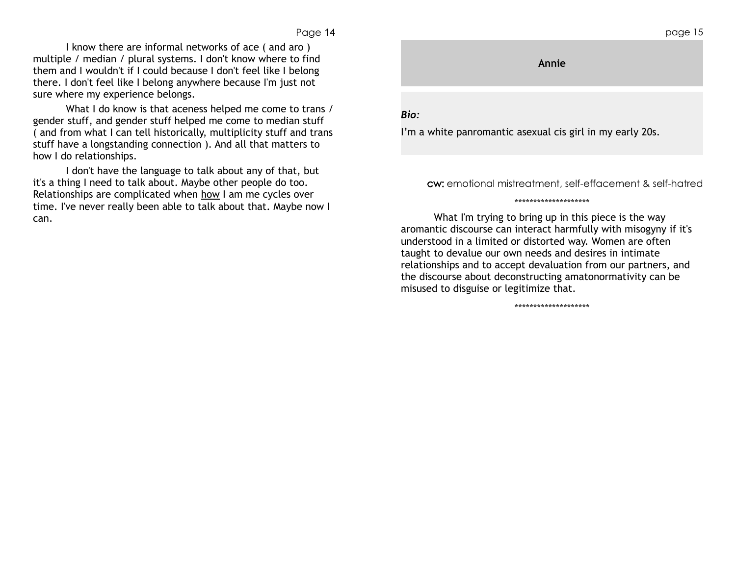I know there are informal networks of ace ( and aro ) multiple / median / plural systems. I don't know where to find them and I wouldn't if I could because I don't feel like I belong there. I don't feel like I belong anywhere because I'm just not sure where my experience belongs.

What I do know is that aceness helped me come to trans / gender stuff, and gender stuff helped me come to median stuff ( and from what I can tell historically, multiplicity stuff and trans stuff have a longstanding connection ). And all that matters to how I do relationships.

I don't have the language to talk about any of that, but it's a thing I need to talk about. Maybe other people do too. Relationships are complicated when how I am me cycles over time. I've never really been able to talk about that. Maybe now I can.

# page 15 **Annie** *Bio:*

I'm a white panromantic asexual cis girl in my early 20s.

cw: emotional mistreatment, self-effacement & self-hatred

What I'm trying to bring up in this piece is the way aromantic discourse can interact harmfully with misogyny if it's understood in a limited or distorted way. Women are often taught to devalue our own needs and desires in intimate relationships and to accept devaluation from our partners, and the discourse about deconstructing amatonormativity can be misused to disguise or legitimize that.

\*\*\*\*\*\*\*\*\*\*\*\*\*\*\*\*\*\*\*\*

\*\*\*\*\*\*\*\*\*\*\*\*\*\*\*\*\*\*\*\*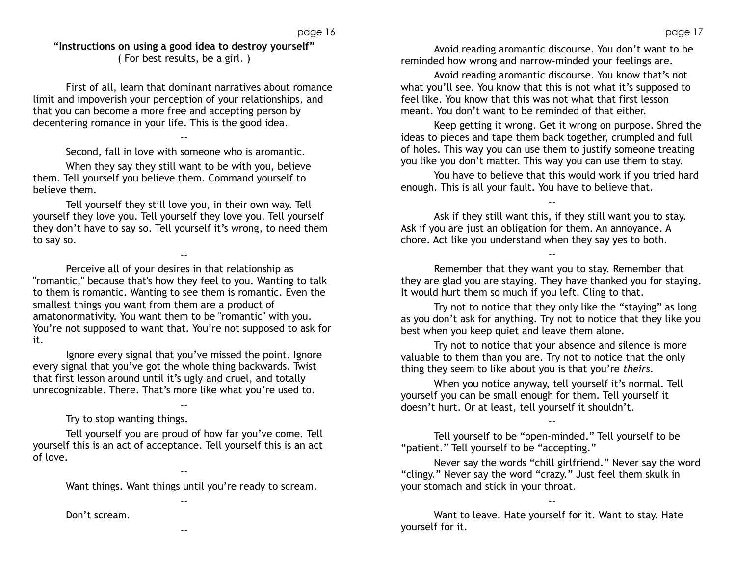**"Instructions on using a good idea to destroy yourself"** ( For best results, be a girl. )

First of all, learn that dominant narratives about romance limit and impoverish your perception of your relationships, and that you can become a more free and accepting person by decentering romance in your life. This is the good idea.

--

Second, fall in love with someone who is aromantic.

When they say they still want to be with you, believe them. Tell yourself you believe them. Command yourself to believe them.

Tell yourself they still love you, in their own way. Tell yourself they love you. Tell yourself they love you. Tell yourself they don't have to say so. Tell yourself it's wrong, to need them to say so.

--

Perceive all of your desires in that relationship as "romantic," because that's how they feel to you. Wanting to talk to them is romantic. Wanting to see them is romantic. Even the smallest things you want from them are a product of amatonormativity. You want them to be "romantic" with you. You're not supposed to want that. You're not supposed to ask for it.

Ignore every signal that you've missed the point. Ignore every signal that you've got the whole thing backwards. Twist that first lesson around until it's ugly and cruel, and totally unrecognizable. There. That's more like what you're used to.

--

Try to stop wanting things.

Don't scream.

Tell yourself you are proud of how far you've come. Tell yourself this is an act of acceptance. Tell yourself this is an act of love.

Want things. Want things until you're ready to scream.

--

--

--

Avoid reading aromantic discourse. You don't want to be reminded how wrong and narrow-minded your feelings are.

Avoid reading aromantic discourse. You know that's not what you'll see. You know that this is not what it's supposed to feel like. You know that this was not what that first lesson meant. You don't want to be reminded of that either.

Keep getting it wrong. Get it wrong on purpose. Shred the ideas to pieces and tape them back together, crumpled and full of holes. This way you can use them to justify someone treating you like you don't matter. This way you can use them to stay.

You have to believe that this would work if you tried hard enough. This is all your fault. You have to believe that.

--

Ask if they still want this, if they still want you to stay. Ask if you are just an obligation for them. An annoyance. A chore. Act like you understand when they say yes to both.

Remember that they want you to stay. Remember that they are glad you are staying. They have thanked you for staying. It would hurt them so much if you left. Cling to that.

--

Try not to notice that they only like the "staying" as long as you don't ask for anything. Try not to notice that they like you best when you keep quiet and leave them alone.

Try not to notice that your absence and silence is more valuable to them than you are. Try not to notice that the only thing they seem to like about you is that you're *theirs.* 

When you notice anyway, tell yourself it's normal. Tell yourself you can be small enough for them. Tell yourself it doesn't hurt. Or at least, tell yourself it shouldn't.

Tell yourself to be "open-minded." Tell yourself to be "patient." Tell yourself to be "accepting."

Never say the words "chill girlfriend." Never say the word "clingy." Never say the word "crazy." Just feel them skulk in your stomach and stick in your throat.

--

--

Want to leave. Hate yourself for it. Want to stay. Hate yourself for it.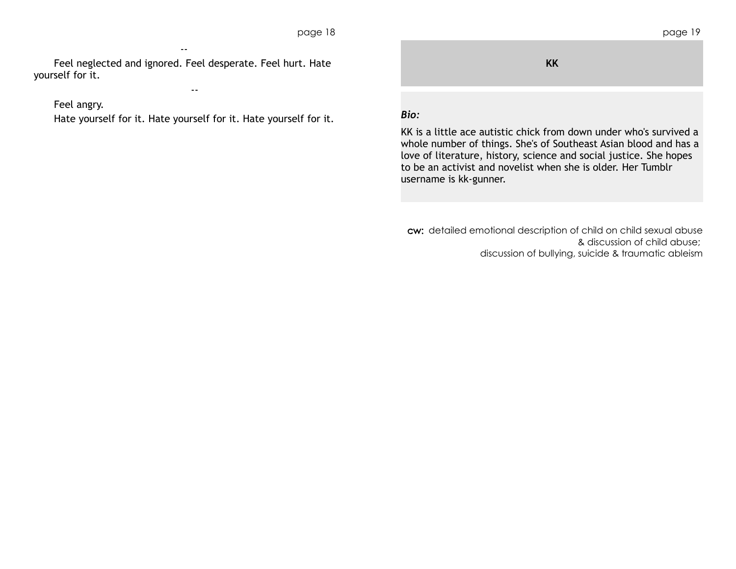Feel neglected and ignored. Feel desperate. Feel hurt. Hate yourself for it.

--

# Feel angry.

Hate yourself for it. Hate yourself for it. Hate yourself for it.

--

|           | rugu i |
|-----------|--------|
|           |        |
|           |        |
|           |        |
| <b>KK</b> |        |
|           |        |
|           |        |
|           |        |
|           |        |

# *Bio:*

KK is a little ace autistic chick from down under who's survived a whole number of things. She's of Southeast Asian blood and has a love of literature, history, science and social justice. She hopes to be an activist and novelist when she is older. Her Tumblr username is kk-gunner.

cw: detailed emotional description of child on child sexual abuse & discussion of child abuse; discussion of bullying, suicide & traumatic ableism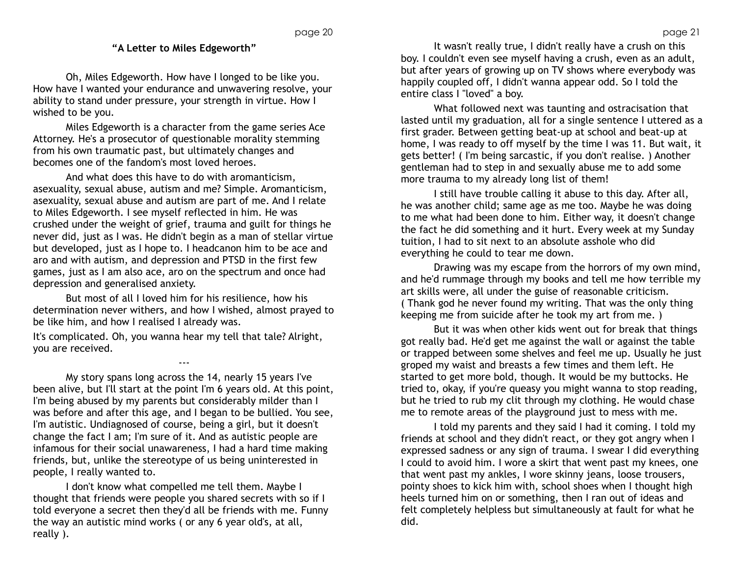# **"A Letter to Miles Edgeworth"**

Oh, Miles Edgeworth. How have I longed to be like you. How have I wanted your endurance and unwavering resolve, your ability to stand under pressure, your strength in virtue. How I wished to be you.

Miles Edgeworth is a character from the game series Ace Attorney. He's a prosecutor of questionable morality stemming from his own traumatic past, but ultimately changes and becomes one of the fandom's most loved heroes.

And what does this have to do with aromanticism, asexuality, sexual abuse, autism and me? Simple. Aromanticism, asexuality, sexual abuse and autism are part of me. And I relate to Miles Edgeworth. I see myself reflected in him. He was crushed under the weight of grief, trauma and guilt for things he never did, just as I was. He didn't begin as a man of stellar virtue but developed, just as I hope to. I headcanon him to be ace and aro and with autism, and depression and PTSD in the first few games, just as I am also ace, aro on the spectrum and once had depression and generalised anxiety.

But most of all I loved him for his resilience, how his determination never withers, and how I wished, almost prayed to be like him, and how I realised I already was.

It's complicated. Oh, you wanna hear my tell that tale? Alright, you are received.

---

My story spans long across the 14, nearly 15 years I've been alive, but I'll start at the point I'm 6 years old. At this point, I'm being abused by my parents but considerably milder than I was before and after this age, and I began to be bullied. You see, I'm autistic. Undiagnosed of course, being a girl, but it doesn't change the fact I am; I'm sure of it. And as autistic people are infamous for their social unawareness, I had a hard time making friends, but, unlike the stereotype of us being uninterested in people, I really wanted to.

I don't know what compelled me tell them. Maybe I thought that friends were people you shared secrets with so if I told everyone a secret then they'd all be friends with me. Funny the way an autistic mind works ( or any 6 year old's, at all, really ).

It wasn't really true, I didn't really have a crush on this boy. I couldn't even see myself having a crush, even as an adult, but after years of growing up on TV shows where everybody was happily coupled off, I didn't wanna appear odd. So I told the entire class I "loved" a boy.

What followed next was taunting and ostracisation that lasted until my graduation, all for a single sentence I uttered as a first grader. Between getting beat-up at school and beat-up at home, I was ready to off myself by the time I was 11. But wait, it gets better! ( I'm being sarcastic, if you don't realise. ) Another gentleman had to step in and sexually abuse me to add some more trauma to my already long list of them!

I still have trouble calling it abuse to this day. After all, he was another child; same age as me too. Maybe he was doing to me what had been done to him. Either way, it doesn't change the fact he did something and it hurt. Every week at my Sunday tuition, I had to sit next to an absolute asshole who did everything he could to tear me down.

Drawing was my escape from the horrors of my own mind, and he'd rummage through my books and tell me how terrible my art skills were, all under the guise of reasonable criticism. ( Thank god he never found my writing. That was the only thing keeping me from suicide after he took my art from me. )

But it was when other kids went out for break that things got really bad. He'd get me against the wall or against the table or trapped between some shelves and feel me up. Usually he just groped my waist and breasts a few times and them left. He started to get more bold, though. It would be my buttocks. He tried to, okay, if you're queasy you might wanna to stop reading, but he tried to rub my clit through my clothing. He would chase me to remote areas of the playground just to mess with me.

I told my parents and they said I had it coming. I told my friends at school and they didn't react, or they got angry when I expressed sadness or any sign of trauma. I swear I did everything I could to avoid him. I wore a skirt that went past my knees, one that went past my ankles, I wore skinny jeans, loose trousers, pointy shoes to kick him with, school shoes when I thought high heels turned him on or something, then I ran out of ideas and felt completely helpless but simultaneously at fault for what he did.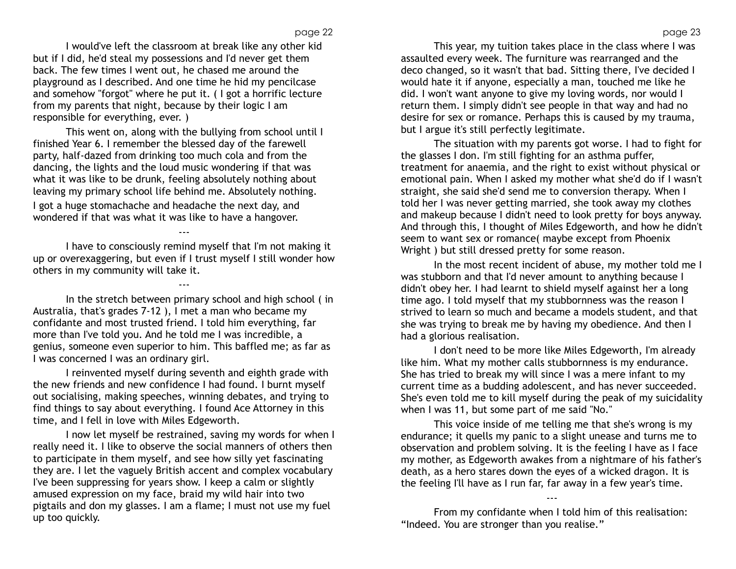I would've left the classroom at break like any other kid but if I did, he'd steal my possessions and I'd never get them back. The few times I went out, he chased me around the playground as I described. And one time he hid my pencilcase and somehow "forgot" where he put it. ( I got a horrific lecture from my parents that night, because by their logic I am responsible for everything, ever. )

This went on, along with the bullying from school until I finished Year 6. I remember the blessed day of the farewell party, half-dazed from drinking too much cola and from the dancing, the lights and the loud music wondering if that was what it was like to be drunk, feeling absolutely nothing about leaving my primary school life behind me. Absolutely nothing. I got a huge stomachache and headache the next day, and wondered if that was what it was like to have a hangover.

I have to consciously remind myself that I'm not making it up or overexaggering, but even if I trust myself I still wonder how others in my community will take it.

---

---

In the stretch between primary school and high school ( in Australia, that's grades 7-12 ), I met a man who became my confidante and most trusted friend. I told him everything, far more than I've told you. And he told me I was incredible, a genius, someone even superior to him. This baffled me; as far as I was concerned I was an ordinary girl.

I reinvented myself during seventh and eighth grade with the new friends and new confidence I had found. I burnt myself out socialising, making speeches, winning debates, and trying to find things to say about everything. I found Ace Attorney in this time, and I fell in love with Miles Edgeworth.

I now let myself be restrained, saving my words for when I really need it. I like to observe the social manners of others then to participate in them myself, and see how silly yet fascinating they are. I let the vaguely British accent and complex vocabulary I've been suppressing for years show. I keep a calm or slightly amused expression on my face, braid my wild hair into two pigtails and don my glasses. I am a flame; I must not use my fuel up too quickly.

This year, my tuition takes place in the class where I was assaulted every week. The furniture was rearranged and the deco changed, so it wasn't that bad. Sitting there, I've decided I would hate it if anyone, especially a man, touched me like he did. I won't want anyone to give my loving words, nor would I return them. I simply didn't see people in that way and had no desire for sex or romance. Perhaps this is caused by my trauma, but I argue it's still perfectly legitimate.

The situation with my parents got worse. I had to fight for the glasses I don. I'm still fighting for an asthma puffer, treatment for anaemia, and the right to exist without physical or emotional pain. When I asked my mother what she'd do if I wasn't straight, she said she'd send me to conversion therapy. When I told her I was never getting married, she took away my clothes and makeup because I didn't need to look pretty for boys anyway. And through this, I thought of Miles Edgeworth, and how he didn't seem to want sex or romance( maybe except from Phoenix Wright ) but still dressed pretty for some reason.

In the most recent incident of abuse, my mother told me I was stubborn and that I'd never amount to anything because I didn't obey her. I had learnt to shield myself against her a long time ago. I told myself that my stubbornness was the reason I strived to learn so much and became a models student, and that she was trying to break me by having my obedience. And then I had a glorious realisation.

I don't need to be more like Miles Edgeworth, I'm already like him. What my mother calls stubbornness is my endurance. She has tried to break my will since I was a mere infant to my current time as a budding adolescent, and has never succeeded. She's even told me to kill myself during the peak of my suicidality when I was 11, but some part of me said "No."

This voice inside of me telling me that she's wrong is my endurance; it quells my panic to a slight unease and turns me to observation and problem solving. It is the feeling I have as I face my mother, as Edgeworth awakes from a nightmare of his father's death, as a hero stares down the eyes of a wicked dragon. It is the feeling I'll have as I run far, far away in a few year's time.

---

From my confidante when I told him of this realisation: "Indeed. You are stronger than you realise."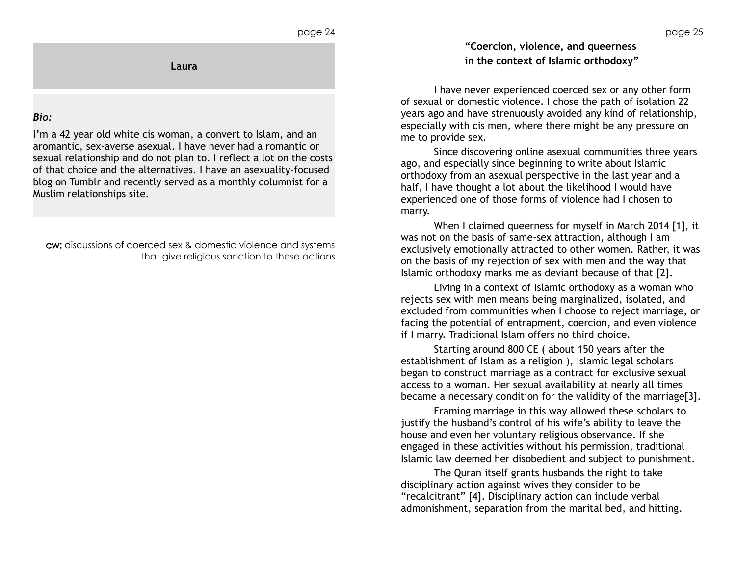**Laura**

### *Bio:*

I'm a 42 year old white cis woman, a convert to Islam, and an aromantic, sex-averse asexual. I have never had a romantic or sexual relationship and do not plan to. I reflect a lot on the costs of that choice and the alternatives. I have an asexuality-focused blog on Tumblr and recently served as a monthly columnist for a Muslim relationships site.

cw: discussions of coerced sex & domestic violence and systems that give religious sanction to these actions **"Coercion, violence, and queerness in the context of Islamic orthodoxy"**

I have never experienced coerced sex or any other form of sexual or domestic violence. I chose the path of isolation 22 years ago and have strenuously avoided any kind of relationship, especially with cis men, where there might be any pressure on me to provide sex.

Since discovering online asexual communities three years ago, and especially since beginning to write about Islamic orthodoxy from an asexual perspective in the last year and a half, I have thought a lot about the likelihood I would have experienced one of those forms of violence had I chosen to marry.

When I claimed queerness for myself in March 2014 [1], it was not on the basis of same-sex attraction, although I am exclusively emotionally attracted to other women. Rather, it was on the basis of my rejection of sex with men and the way that Islamic orthodoxy marks me as deviant because of that [2].

Living in a context of Islamic orthodoxy as a woman who rejects sex with men means being marginalized, isolated, and excluded from communities when I choose to reject marriage, or facing the potential of entrapment, coercion, and even violence if I marry. Traditional Islam offers no third choice.

Starting around 800 CE ( about 150 years after the establishment of Islam as a religion ), Islamic legal scholars began to construct marriage as a contract for exclusive sexual access to a woman. Her sexual availability at nearly all times became a necessary condition for the validity of the marriage[3].

Framing marriage in this way allowed these scholars to justify the husband's control of his wife's ability to leave the house and even her voluntary religious observance. If she engaged in these activities without his permission, traditional Islamic law deemed her disobedient and subject to punishment.

The Quran itself grants husbands the right to take disciplinary action against wives they consider to be "recalcitrant" [4]. Disciplinary action can include verbal admonishment, separation from the marital bed, and hitting.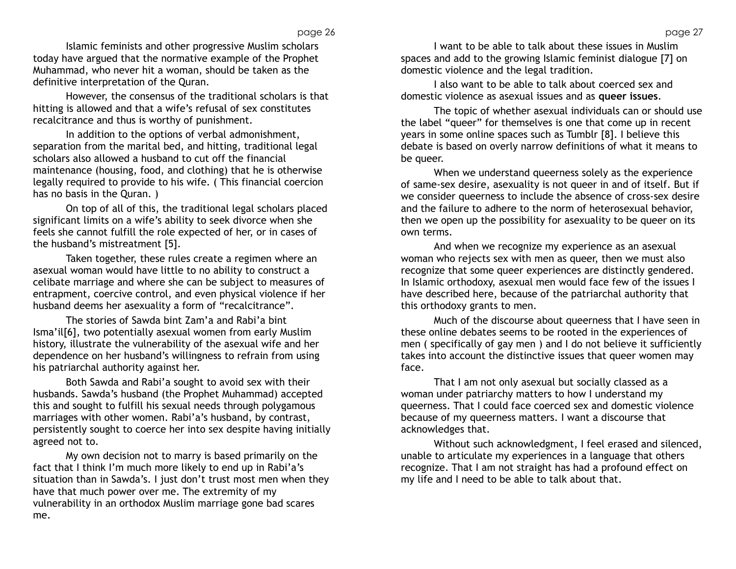Islamic feminists and other progressive Muslim scholars today have argued that the normative example of the Prophet Muhammad, who never hit a woman, should be taken as the definitive interpretation of the Quran.

However, the consensus of the traditional scholars is that hitting is allowed and that a wife's refusal of sex constitutes recalcitrance and thus is worthy of punishment.

In addition to the options of verbal admonishment, separation from the marital bed, and hitting, traditional legal scholars also allowed a husband to cut off the financial maintenance (housing, food, and clothing) that he is otherwise legally required to provide to his wife. ( This financial coercion has no basis in the Quran. )

On top of all of this, the traditional legal scholars placed significant limits on a wife's ability to seek divorce when she feels she cannot fulfill the role expected of her, or in cases of the husband's mistreatment [5].

Taken together, these rules create a regimen where an asexual woman would have little to no ability to construct a celibate marriage and where she can be subject to measures of entrapment, coercive control, and even physical violence if her husband deems her asexuality a form of "recalcitrance".

The stories of Sawda bint Zam'a and Rabi'a bint Isma'il[6], two potentially asexual women from early Muslim history, illustrate the vulnerability of the asexual wife and her dependence on her husband's willingness to refrain from using his patriarchal authority against her.

Both Sawda and Rabi'a sought to avoid sex with their husbands. Sawda's husband (the Prophet Muhammad) accepted this and sought to fulfill his sexual needs through polygamous marriages with other women. Rabi'a's husband, by contrast, persistently sought to coerce her into sex despite having initially agreed not to.

My own decision not to marry is based primarily on the fact that I think I'm much more likely to end up in Rabi'a's situation than in Sawda's. I just don't trust most men when they have that much power over me. The extremity of my vulnerability in an orthodox Muslim marriage gone bad scares me.

I want to be able to talk about these issues in Muslim spaces and add to the growing Islamic feminist dialogue [7] on domestic violence and the legal tradition.

I also want to be able to talk about coerced sex and domestic violence as asexual issues and as **queer issues**.

The topic of whether asexual individuals can or should use the label "queer" for themselves is one that come up in recent years in some online spaces such as Tumblr [8]. I believe this debate is based on overly narrow definitions of what it means to be queer.

When we understand queerness solely as the experience of same-sex desire, asexuality is not queer in and of itself. But if we consider queerness to include the absence of cross-sex desire and the failure to adhere to the norm of heterosexual behavior, then we open up the possibility for asexuality to be queer on its own terms.

And when we recognize my experience as an asexual woman who rejects sex with men as queer, then we must also recognize that some queer experiences are distinctly gendered. In Islamic orthodoxy, asexual men would face few of the issues I have described here, because of the patriarchal authority that this orthodoxy grants to men.

Much of the discourse about queerness that I have seen in these online debates seems to be rooted in the experiences of men ( specifically of gay men ) and I do not believe it sufficiently takes into account the distinctive issues that queer women may face.

That I am not only asexual but socially classed as a woman under patriarchy matters to how I understand my queerness. That I could face coerced sex and domestic violence because of my queerness matters. I want a discourse that acknowledges that.

Without such acknowledgment, I feel erased and silenced, unable to articulate my experiences in a language that others recognize. That I am not straight has had a profound effect on my life and I need to be able to talk about that.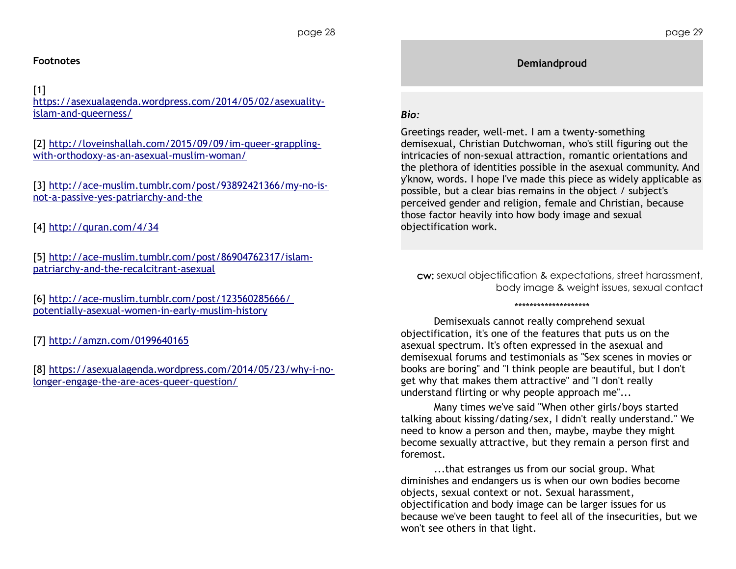# **Footnotes**

# $[1]$

[https://asexualagenda.wordpress.com/2014/05/02/asexuality](https://asexualagenda.wordpress.com/2014/05/02/asexuality-islam-and-queerness/)[islam-and-queerness/](https://asexualagenda.wordpress.com/2014/05/02/asexuality-islam-and-queerness/)

[2] [http://loveinshallah.com/2015/09/09/im-queer-grappling](http://loveinshallah.com/2015/09/09/im-queer-grappling-with-orthodoxy-as-an-asexual-muslim-woman/)[with-orthodoxy-as-an-asexual-muslim-woman/](http://loveinshallah.com/2015/09/09/im-queer-grappling-with-orthodoxy-as-an-asexual-muslim-woman/)

[3] [http://ace-muslim.tumblr.com/post/93892421366/my-no-is](http://ace-muslim.tumblr.com/post/93892421366/my-no-is-not-a-passive-yes-patriarchy-and-the)[not-a-passive-yes-patriarchy-and-the](http://ace-muslim.tumblr.com/post/93892421366/my-no-is-not-a-passive-yes-patriarchy-and-the)

[4]<http://quran.com/4/34>

[5] [http://ace-muslim.tumblr.com/post/86904762317/islam](http://ace-muslim.tumblr.com/post/86904762317/islam-patriarchy-and-the-recalcitrant-asexual)[patriarchy-and-the-recalcitrant-asexual](http://ace-muslim.tumblr.com/post/86904762317/islam-patriarchy-and-the-recalcitrant-asexual)

[6]<http://ace-muslim.tumblr.com/post/123560285666>[/](http://ace-muslim.tumblr.com/post/123560285666/potentially-asexual-women-in-early-muslim-history)  [potentially-asexual-women-in-early-muslim-history](http://ace-muslim.tumblr.com/post/123560285666/potentially-asexual-women-in-early-muslim-history)

[7]<http://amzn.com/0199640165>

[8] [https://asexualagenda.wordpress.com/2014/05/23/why-i-no](https://asexualagenda.wordpress.com/2014/05/23/why-i-no-longer-engage-the-are-aces-queer-question/)[longer-engage-the-are-aces-queer-question/](https://asexualagenda.wordpress.com/2014/05/23/why-i-no-longer-engage-the-are-aces-queer-question/)

**Demiandproud**

# *Bio:*

Greetings reader, well-met. I am a twenty-something demisexual, Christian Dutchwoman, who's still figuring out the intricacies of non-sexual attraction, romantic orientations and the plethora of identities possible in the asexual community. And y'know, words. I hope I've made this piece as widely applicable as possible, but a clear bias remains in the object / subject's perceived gender and religion, female and Christian, because those factor heavily into how body image and sexual objectification work.

cw: sexual objectification & expectations, street harassment, body image & weight issues, sexual contact

#### \*\*\*\*\*\*\*\*\*\*\*\*\*\*\*\*\*\*\*\*

Demisexuals cannot really comprehend sexual objectification, it's one of the features that puts us on the asexual spectrum. It's often expressed in the asexual and demisexual forums and testimonials as "Sex scenes in movies or books are boring" and "I think people are beautiful, but I don't get why that makes them attractive" and "I don't really understand flirting or why people approach me"...

Many times we've said "When other girls/boys started talking about kissing/dating/sex, I didn't really understand." We need to know a person and then, maybe, maybe they might become sexually attractive, but they remain a person first and foremost.

...that estranges us from our social group. What diminishes and endangers us is when our own bodies become objects, sexual context or not. Sexual harassment, objectification and body image can be larger issues for us because we've been taught to feel all of the insecurities, but we won't see others in that light.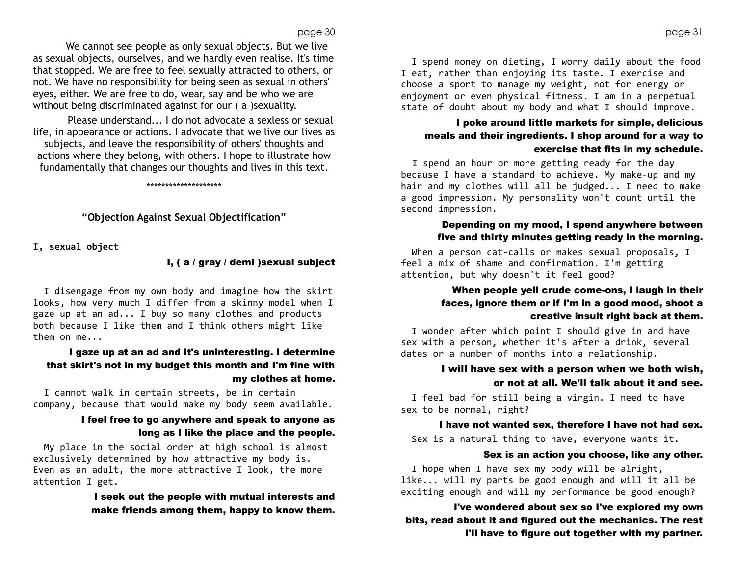We cannot see people as only sexual objects. But we live as sexual objects, ourselves, and we hardly even realise. It's time that stopped. We are free to feel sexually attracted to others, or not. We have no responsibility for being seen as sexual in others' eyes, either. We are free to do, wear, say and be who we are without being discriminated against for our ( a )sexuality.

Please understand... I do not advocate a sexless or sexual life, in appearance or actions. I advocate that we live our lives as subjects, and leave the responsibility of others' thoughts and actions where they belong, with others. I hope to illustrate how fundamentally that changes our thoughts and lives in this text.

**"Objection Against Sexual Objectification"**

\*\*\*\*\*\*\*\*\*\*\*\*\*\*\*\*\*\*\*\*

**I, sexual object**

#### I, ( a / gray / demi )sexual subject

 I disengage from my own body and imagine how the skirt looks, how very much I differ from a skinny model when I gaze up at an ad... I buy so many clothes and products both because I like them and I think others might like them on me...

# I gaze up at an ad and it's uninteresting. I determine that skirt's not in my budget this month and I'm fine with my clothes at home.

 I cannot walk in certain streets, be in certain company, because that would make my body seem available.

#### I feel free to go anywhere and speak to anyone as long as I like the place and the people.

 My place in the social order at high school is almost exclusively determined by how attractive my body is. Even as an adult, the more attractive I look, the more attention I get.

> I seek out the people with mutual interests and make friends among them, happy to know them.

page 31

 I spend money on dieting, I worry daily about the food I eat, rather than enjoying its taste. I exercise and choose a sport to manage my weight, not for energy or enjoyment or even physical fitness. I am in a perpetual state of doubt about my body and what I should improve.

# I poke around little markets for simple, delicious meals and their ingredients. I shop around for a way to exercise that fits in my schedule.

 I spend an hour or more getting ready for the day because I have a standard to achieve. My make-up and my hair and my clothes will all be judged... I need to make a good impression. My personality won't count until the second impression.

#### Depending on my mood, I spend anywhere between five and thirty minutes getting ready in the morning.

When a person cat-calls or makes sexual proposals, I feel a mix of shame and confirmation. I'm getting attention, but why doesn't it feel good?

### When people yell crude come-ons, I laugh in their faces, ignore them or if I'm in a good mood, shoot a creative insult right back at them.

 I wonder after which point I should give in and have sex with a person, whether it's after a drink, several dates or a number of months into a relationship.

### I will have sex with a person when we both wish, or not at all. We'll talk about it and see.

 I feel bad for still being a virgin. I need to have sex to be normal, right?

#### I have not wanted sex, therefore I have not had sex.

Sex is a natural thing to have, everyone wants it.

#### Sex is an action you choose, like any other.

 I hope when I have sex my body will be alright, like... will my parts be good enough and will it all be exciting enough and will my performance be good enough?

I've wondered about sex so I've explored my own bits, read about it and figured out the mechanics. The rest I'll have to figure out together with my partner.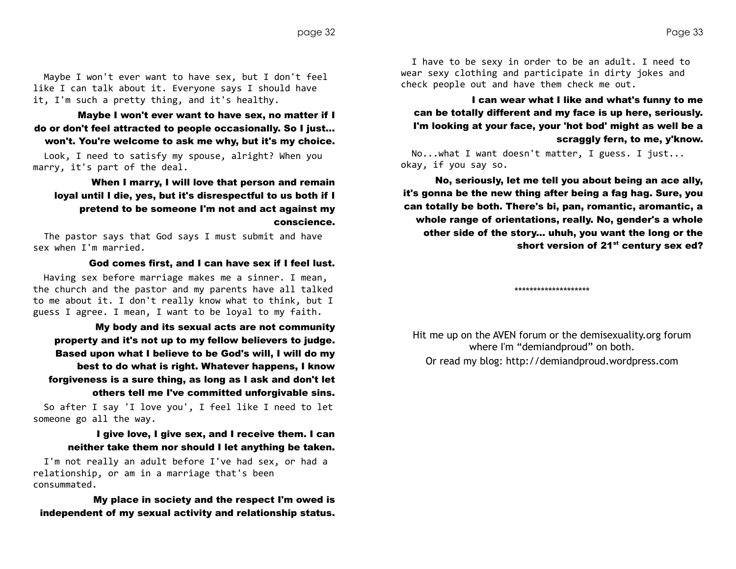Maybe I won't ever want to have sex, but I don't feel like I can talk about it. Everyone says I should have it, I'm such a pretty thing, and it's healthy.

Maybe I won't ever want to have sex, no matter if I do or don't feel attracted to people occasionally. So I just... won't. You're welcome to ask me why, but it's my choice.

 Look, I need to satisfy my spouse, alright? When you marry, it's part of the deal.

# When I marry, I will love that person and remain loyal until I die, yes, but it's disrespectful to us both if I pretend to be someone I'm not and act against my conscience.

 The pastor says that God says I must submit and have sex when I'm married.

#### God comes first, and I can have sex if I feel lust.

 Having sex before marriage makes me a sinner. I mean, the church and the pastor and my parents have all talked to me about it. I don't really know what to think, but I guess I agree. I mean, I want to be loyal to my faith.

My body and its sexual acts are not community property and it's not up to my fellow believers to judge. Based upon what I believe to be God's will, I will do my best to do what is right. Whatever happens, I know forgiveness is a sure thing, as long as I ask and don't let others tell me I've committed unforgivable sins.

 So after I say 'I love you', I feel like I need to let someone go all the way.

#### I give love, I give sex, and I receive them. I can neither take them nor should I let anything be taken.

 I'm not really an adult before I've had sex, or had a relationship, or am in a marriage that's been consummated.

My place in society and the respect I'm owed is independent of my sexual activity and relationship status.

 I have to be sexy in order to be an adult. I need to wear sexy clothing and participate in dirty jokes and check people out and have them check me out.

I can wear what I like and what's funny to me can be totally different and my face is up here, seriously. I'm looking at your face, your 'hot bod' might as well be a scraggly fern, to me, y'know.

 No...what I want doesn't matter, I guess. I just... okay, if you say so.

No, seriously, let me tell you about being an ace ally, it's gonna be the new thing after being a fag hag. Sure, you can totally be both. There's bi, pan, romantic, aromantic, a whole range of orientations, really. No, gender's a whole other side of the story... uhuh, you want the long or the short version of 21<sup>st</sup> century sex ed?

\*\*\*\*\*\*\*\*\*\*\*\*\*\*\*\*\*\*\*\*

Hit me up on the AVEN forum or the demisexuality.org forum where I'm "demiandproud" on both. Or read my blog: [http://demiandproud.wordpress.com](http://demiandproud.wordpress.com/)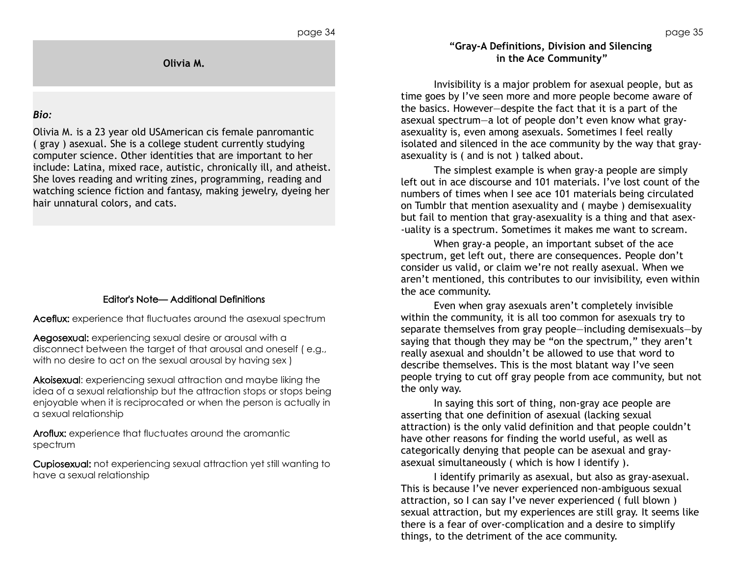**Olivia M.**

### *Bio:*

Olivia M. is a 23 year old USAmerican cis female panromantic ( gray ) asexual. She is a college student currently studying computer science. Other identities that are important to her include: Latina, mixed race, autistic, chronically ill, and atheist. She loves reading and writing zines, programming, reading and watching science fiction and fantasy, making jewelry, dyeing her hair unnatural colors, and cats.

# Editor's Note— Additional Definitions

Aceflux: experience that fluctuates around the asexual spectrum

Aegosexual: experiencing sexual desire or arousal with a disconnect between the target of that arousal and oneself ( e.g., with no desire to act on the sexual arousal by having sex )

Akoisexual: experiencing sexual attraction and maybe liking the idea of a sexual relationship but the attraction stops or stops being enjoyable when it is reciprocated or when the person is actually in a sexual relationship

Aroflux: experience that fluctuates around the aromantic spectrum

Cupiosexual: not experiencing sexual attraction yet still wanting to have a sexual relationship

# **"Gray-A Definitions, Division and Silencing in the Ace Community"**

Invisibility is a major problem for asexual people, but as time goes by I've seen more and more people become aware of the basics. However—despite the fact that it is a part of the asexual spectrum—a lot of people don't even know what grayasexuality is, even among asexuals. Sometimes I feel really isolated and silenced in the ace community by the way that grayasexuality is ( and is not ) talked about.

The simplest example is when gray-a people are simply left out in ace discourse and 101 materials. I've lost count of the numbers of times when I see ace 101 materials being circulated on Tumblr that mention asexuality and ( maybe ) demisexuality but fail to mention that gray-asexuality is a thing and that asex- -uality is a spectrum. Sometimes it makes me want to scream.

When gray-a people, an important subset of the ace spectrum, get left out, there are consequences. People don't consider us valid, or claim we're not really asexual. When we aren't mentioned, this contributes to our invisibility, even within the ace community.

Even when gray asexuals aren't completely invisible within the community, it is all too common for asexuals try to separate themselves from gray people—including demisexuals—by saying that though they may be "on the spectrum," they aren't really asexual and shouldn't be allowed to use that word to describe themselves. This is the most blatant way I've seen people trying to cut off gray people from ace community, but not the only way.

In saying this sort of thing, non-gray ace people are asserting that one definition of asexual (lacking sexual attraction) is the only valid definition and that people couldn't have other reasons for finding the world useful, as well as categorically denying that people can be asexual and grayasexual simultaneously ( which is how I identify ).

I identify primarily as asexual, but also as gray-asexual. This is because I've never experienced non-ambiguous sexual attraction, so I can say I've never experienced ( full blown ) sexual attraction, but my experiences are still gray. It seems like there is a fear of over-complication and a desire to simplify things, to the detriment of the ace community.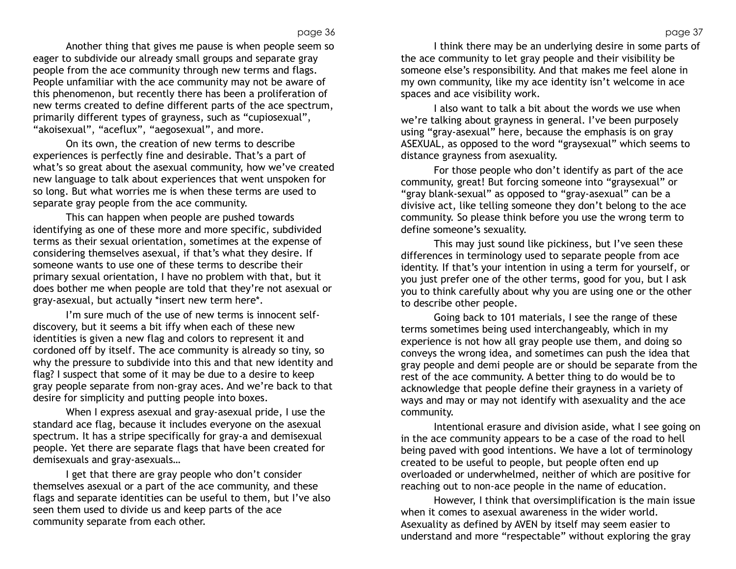Another thing that gives me pause is when people seem so eager to subdivide our already small groups and separate gray people from the ace community through new terms and flags. People unfamiliar with the ace community may not be aware of this phenomenon, but recently there has been a proliferation of new terms created to define different parts of the ace spectrum, primarily different types of grayness, such as "cupiosexual", "akoisexual", "aceflux", "aegosexual", and more.

On its own, the creation of new terms to describe experiences is perfectly fine and desirable. That's a part of what's so great about the asexual community, how we've created new language to talk about experiences that went unspoken for so long. But what worries me is when these terms are used to separate gray people from the ace community.

This can happen when people are pushed towards identifying as one of these more and more specific, subdivided terms as their sexual orientation, sometimes at the expense of considering themselves asexual, if that's what they desire. If someone wants to use one of these terms to describe their primary sexual orientation, I have no problem with that, but it does bother me when people are told that they're not asexual or gray-asexual, but actually \*insert new term here\*.

I'm sure much of the use of new terms is innocent selfdiscovery, but it seems a bit iffy when each of these new identities is given a new flag and colors to represent it and cordoned off by itself. The ace community is already so tiny, so why the pressure to subdivide into this and that new identity and flag? I suspect that some of it may be due to a desire to keep gray people separate from non-gray aces. And we're back to that desire for simplicity and putting people into boxes.

When I express asexual and gray-asexual pride, I use the standard ace flag, because it includes everyone on the asexual spectrum. It has a stripe specifically for gray-a and demisexual people. Yet there are separate flags that have been created for demisexuals and gray-asexuals…

I get that there are gray people who don't consider themselves asexual or a part of the ace community, and these flags and separate identities can be useful to them, but I've also seen them used to divide us and keep parts of the ace community separate from each other.

I think there may be an underlying desire in some parts of the ace community to let gray people and their visibility be someone else's responsibility. And that makes me feel alone in my own community, like my ace identity isn't welcome in ace spaces and ace visibility work.

I also want to talk a bit about the words we use when we're talking about grayness in general. I've been purposely using "gray-asexual" here, because the emphasis is on gray ASEXUAL, as opposed to the word "graysexual" which seems to distance grayness from asexuality.

For those people who don't identify as part of the ace community, great! But forcing someone into "graysexual" or "gray blank-sexual" as opposed to "gray-asexual" can be a divisive act, like telling someone they don't belong to the ace community. So please think before you use the wrong term to define someone's sexuality.

This may just sound like pickiness, but I've seen these differences in terminology used to separate people from ace identity. If that's your intention in using a term for yourself, or you just prefer one of the other terms, good for you, but I ask you to think carefully about why you are using one or the other to describe other people.

Going back to 101 materials, I see the range of these terms sometimes being used interchangeably, which in my experience is not how all gray people use them, and doing so conveys the wrong idea, and sometimes can push the idea that gray people and demi people are or should be separate from the rest of the ace community. A better thing to do would be to acknowledge that people define their grayness in a variety of ways and may or may not identify with asexuality and the ace community.

Intentional erasure and division aside, what I see going on in the ace community appears to be a case of the road to hell being paved with good intentions. We have a lot of terminology created to be useful to people, but people often end up overloaded or underwhelmed, neither of which are positive for reaching out to non-ace people in the name of education.

However, I think that oversimplification is the main issue when it comes to asexual awareness in the wider world. Asexuality as defined by AVEN by itself may seem easier to understand and more "respectable" without exploring the gray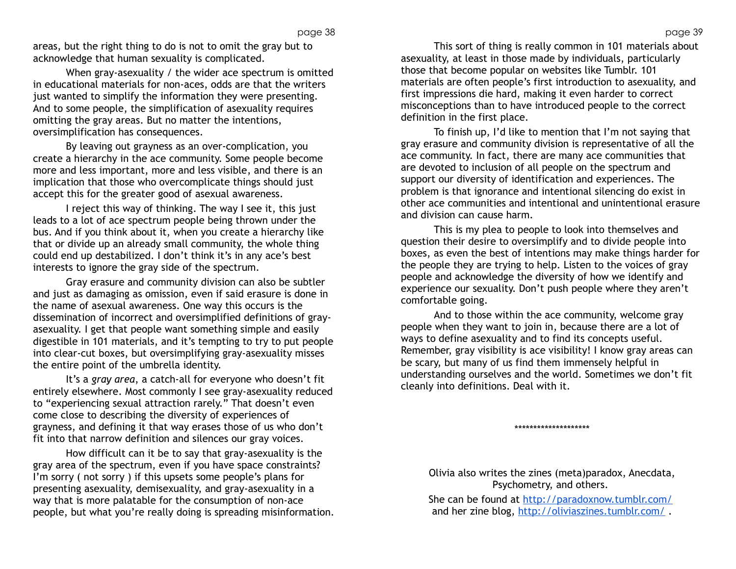areas, but the right thing to do is not to omit the gray but to acknowledge that human sexuality is complicated.

When gray-asexuality / the wider ace spectrum is omitted in educational materials for non-aces, odds are that the writers just wanted to simplify the information they were presenting. And to some people, the simplification of asexuality requires omitting the gray areas. But no matter the intentions, oversimplification has consequences.

By leaving out grayness as an over-complication, you create a hierarchy in the ace community. Some people become more and less important, more and less visible, and there is an implication that those who overcomplicate things should just accept this for the greater good of asexual awareness.

I reject this way of thinking. The way I see it, this just leads to a lot of ace spectrum people being thrown under the bus. And if you think about it, when you create a hierarchy like that or divide up an already small community, the whole thing could end up destabilized. I don't think it's in any ace's best interests to ignore the gray side of the spectrum.

Gray erasure and community division can also be subtler and just as damaging as omission, even if said erasure is done in the name of asexual awareness. One way this occurs is the dissemination of incorrect and oversimplified definitions of grayasexuality. I get that people want something simple and easily digestible in 101 materials, and it's tempting to try to put people into clear-cut boxes, but oversimplifying gray-asexuality misses the entire point of the umbrella identity.

It's a *gray area*, a catch-all for everyone who doesn't fit entirely elsewhere. Most commonly I see gray-asexuality reduced to "experiencing sexual attraction rarely." That doesn't even come close to describing the diversity of experiences of grayness, and defining it that way erases those of us who don't fit into that narrow definition and silences our gray voices.

How difficult can it be to say that gray-asexuality is the gray area of the spectrum, even if you have space constraints? I'm sorry ( not sorry ) if this upsets some people's plans for presenting asexuality, demisexuality, and gray-asexuality in a way that is more palatable for the consumption of non-ace people, but what you're really doing is spreading misinformation.

This sort of thing is really common in 101 materials about asexuality, at least in those made by individuals, particularly those that become popular on websites like Tumblr. 101 materials are often people's first introduction to asexuality, and first impressions die hard, making it even harder to correct misconceptions than to have introduced people to the correct definition in the first place.

To finish up, I'd like to mention that I'm not saying that gray erasure and community division is representative of all the ace community. In fact, there are many ace communities that are devoted to inclusion of all people on the spectrum and support our diversity of identification and experiences. The problem is that ignorance and intentional silencing do exist in other ace communities and intentional and unintentional erasure and division can cause harm.

This is my plea to people to look into themselves and question their desire to oversimplify and to divide people into boxes, as even the best of intentions may make things harder for the people they are trying to help. Listen to the voices of gray people and acknowledge the diversity of how we identify and experience our sexuality. Don't push people where they aren't comfortable going.

And to those within the ace community, welcome gray people when they want to join in, because there are a lot of ways to define asexuality and to find its concepts useful. Remember, gray visibility is ace visibility! I know gray areas can be scary, but many of us find them immensely helpful in understanding ourselves and the world. Sometimes we don't fit cleanly into definitions. Deal with it.

\*\*\*\*\*\*\*\*\*\*\*\*\*\*\*\*\*\*\*\*

Olivia also writes the zines (meta)paradox, Anecdata, Psychometry, and others.

She can be found at<http://paradoxnow.tumblr.com/> and her zine blog, http://oliviaszines.tumblr.com/.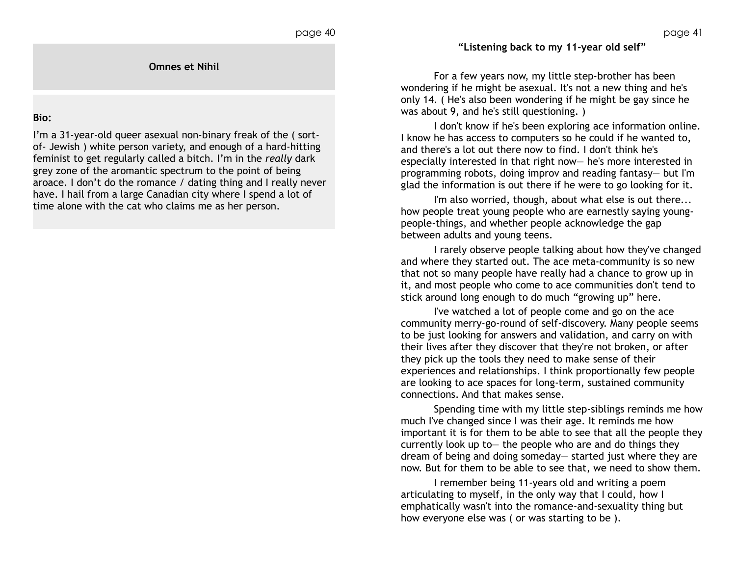# **"Listening back to my 11-year old self"**

For a few years now, my little step-brother has been wondering if he might be asexual. It's not a new thing and he's only 14. ( He's also been wondering if he might be gay since he was about 9, and he's still questioning. )

I don't know if he's been exploring ace information online. I know he has access to computers so he could if he wanted to, and there's a lot out there now to find. I don't think he's especially interested in that right now— he's more interested in programming robots, doing improv and reading fantasy— but I'm glad the information is out there if he were to go looking for it.

I'm also worried, though, about what else is out there... how people treat young people who are earnestly saying youngpeople-things, and whether people acknowledge the gap between adults and young teens.

I rarely observe people talking about how they've changed and where they started out. The ace meta-community is so new that not so many people have really had a chance to grow up in it, and most people who come to ace communities don't tend to stick around long enough to do much "growing up" here.

I've watched a lot of people come and go on the ace community merry-go-round of self-discovery. Many people seems to be just looking for answers and validation, and carry on with their lives after they discover that they're not broken, or after they pick up the tools they need to make sense of their experiences and relationships. I think proportionally few people are looking to ace spaces for long-term, sustained community connections. And that makes sense.

Spending time with my little step-siblings reminds me how much I've changed since I was their age. It reminds me how important it is for them to be able to see that all the people they currently look up to— the people who are and do things they dream of being and doing someday— started just where they are now. But for them to be able to see that, we need to show them.

I remember being 11-years old and writing a poem articulating to myself, in the only way that I could, how I emphatically wasn't into the romance-and-sexuality thing but how everyone else was ( or was starting to be ).

**Omnes et Nihil**

#### **Bio:**

I'm a 31-year-old queer asexual non-binary freak of the ( sortof- Jewish ) white person variety, and enough of a hard-hitting feminist to get regularly called a bitch. I'm in the *really* dark grey zone of the aromantic spectrum to the point of being aroace. I don't do the romance / dating thing and I really never have. I hail from a large Canadian city where I spend a lot of time alone with the cat who claims me as her person.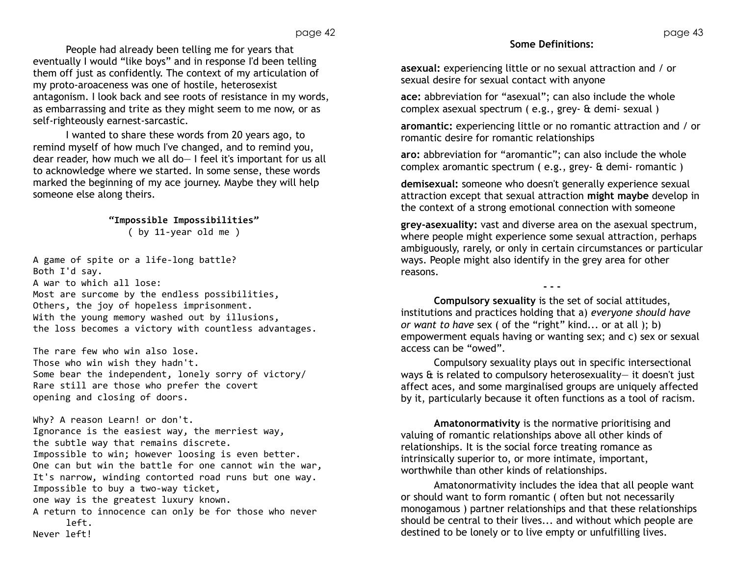People had already been telling me for years that eventually I would "like boys" and in response I'd been telling them off just as confidently. The context of my articulation of my proto-aroaceness was one of hostile, heterosexist antagonism. I look back and see roots of resistance in my words, as embarrassing and trite as they might seem to me now, or as self-righteously earnest-sarcastic.

I wanted to share these words from 20 years ago, to remind myself of how much I've changed, and to remind you, dear reader, how much we all do— I feel it's important for us all to acknowledge where we started. In some sense, these words marked the beginning of my ace journey. Maybe they will help someone else along theirs.

> **"Impossible Impossibilities"** ( by 11-year old me )

A game of spite or a life-long battle? Both I'd say. A war to which all lose: Most are surcome by the endless possibilities, Others, the joy of hopeless imprisonment. With the young memory washed out by illusions, the loss becomes a victory with countless advantages.

The rare few who win also lose. Those who win wish they hadn't. Some bear the independent, lonely sorry of victory/ Rare still are those who prefer the covert opening and closing of doors.

Why? A reason Learn! or don't. Ignorance is the easiest way, the merriest way, the subtle way that remains discrete. Impossible to win; however loosing is even better. One can but win the battle for one cannot win the war, It's narrow, winding contorted road runs but one way. Impossible to buy a two-way ticket, one way is the greatest luxury known. A return to innocence can only be for those who never left. Never left!

# **Some Definitions:**

**asexual:** experiencing little or no sexual attraction and / or sexual desire for sexual contact with anyone

**ace:** abbreviation for "asexual"; can also include the whole complex asexual spectrum ( e.g., grey- & demi- sexual )

**aromantic:** experiencing little or no romantic attraction and / or romantic desire for romantic relationships

**aro:** abbreviation for "aromantic"; can also include the whole complex aromantic spectrum ( e.g., grey- & demi- romantic )

**demisexual:** someone who doesn't generally experience sexual attraction except that sexual attraction **might maybe** develop in the context of a strong emotional connection with someone

**grey-asexuality:** vast and diverse area on the asexual spectrum, where people might experience some sexual attraction, perhaps ambiguously, rarely, or only in certain circumstances or particular ways. People might also identify in the grey area for other reasons.

**- - -**

**Compulsory sexuality** is the set of social attitudes, institutions and practices holding that a) *everyone should have or want to have* sex ( of the "right" kind... or at all ); b) empowerment equals having or wanting sex; and c) sex or sexual access can be "owed".

Compulsory sexuality plays out in specific intersectional ways & is related to compulsory heterosexuality— it doesn't just affect aces, and some marginalised groups are uniquely affected by it, particularly because it often functions as a tool of racism.

**Amatonormativity** is the normative prioritising and valuing of romantic relationships above all other kinds of relationships. It is the social force treating romance as intrinsically superior to, or more intimate, important, worthwhile than other kinds of relationships.

Amatonormativity includes the idea that all people want or should want to form romantic ( often but not necessarily monogamous ) partner relationships and that these relationships should be central to their lives... and without which people are destined to be lonely or to live empty or unfulfilling lives.